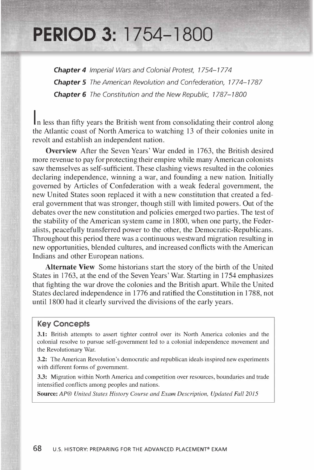# **PERIOD 3: 1754-1800**

*Chapter 4 Imperial Wars and Colonial Protest, 1754-1774 Chapter 5 The American Revolution and Confederation, 1774-1787 Chapter 6 The Constitution and the New Republic, 1787-1800* 

In less than fifty years the British went from consolidating their control along the Atlantic coast of North America to watching 13 of their colonies unite in revolt and establish an independent nation.

**Overview** After the Seven Years' War ended in 1763, the British desired more revenue to pay for protecting their empire while many American colonists saw themselves as self-sufficient. These clashing views resulted in the colonies declaring independence, winning a war, and founding a new nation. Initially governed by Articles of Confederation with a weak federal government, the new United States soon replaced it with a new constitution that created a federal government that was stronger, though still with limited powers. Out of the debates over the new constitution and policies emerged two parties. The test of the stability of the American system came in 1800, when one party, the Federalists, peacefully transferred power to the other, the Democratic-Republicans. Throughout this period there was a continuous westward migration resulting in new opportunities, blended cultures, and increased conflicts with the American Indians and other European nations.

**Alternate View** Some historians start the story of the birth of the United States in 1763, at the end of the Seven Years' War. Starting in 1754 emphasizes that fighting the war drove the colonies and the British apart. While the United States declared independence in 1776 and ratified the Constitution in 1788, not until 1800 had it clearly survived the divisions of the early years.

#### **Key Concepts**

**3.1:** British attempts to assert tighter control over its North America colonies and the colonial resolve to pursue self-government led to a colonial independence movement and the Revolutionary War.

**3.2:** The American Revolution's democratic and republican ideals inspired new experiments with different forms of government.

**3.3:** Migration within North America and competition over resources, boundaries and trade intensified conflicts among peoples and nations.

**Source:** *AP® United States History Course and Exam Description, Updated Fall 2015*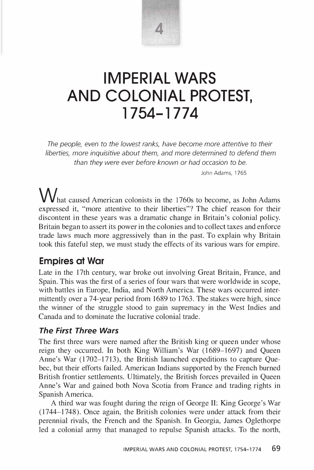

## **IMPERIAL WARS AND COLONIAL PROTEST, 1754-1774**

*The people, even to the lowest ranks, have become more attentive to their liberties, more inquisitive about them, and more determined to defend them than they were ever before known or had occasion to be.* 

John Adams, 1765

What caused American colonists in the 1760s to become, as John Adams expressed it, "more attentive to their liberties"? The chief reason for their discontent in these years was a dramatic change in Britain's colonial policy. Britain began to assert its power in the colonies and to collect taxes and enforce trade laws much more aggressively than in the past. To explain why Britain took this fateful step, we must study the effects of its various wars for empire.

## **Empires at War**

Late in the 17th century, war broke out involving Great Britain, France, and Spain. This was the first of a series of four wars that were worldwide in scope, with battles in Europe, India, and North America. These wars occurred intermittently over a 74-year period from 1689 to 1763. The stakes were high, since the winner of the struggle stood to gain supremacy in the West Indies and Canada and to dominate the lucrative colonial trade.

## *The First Three Wars*

The first three wars were named after the British king or queen under whose reign they occurred. In both King William's War (1689-1697) and Queen Anne's War (1702-1713), the British launched expeditions to capture Quebec, but their efforts failed. American Indians supported by the French burned British frontier settlements. Ultimately, the British forces prevailed in Queen Anne's War and gained both Nova Scotia from France and trading rights in Spanish America.

A third war was fought during the reign of George II: King George's War (17 44-17 48). Once again, the British colonies were under attack from their perennial rivals, the French and the Spanish. In Georgia, James Oglethorpe led a colonial army that managed to repulse Spanish attacks. To the north,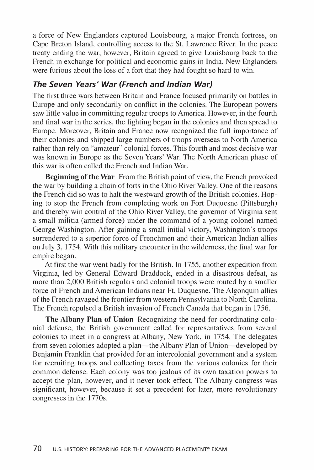a force of New Englanders captured Louisbourg, a major French fortress, on Cape Breton Island, controlling access to the St. Lawrence River. In the peace treaty ending the war, however, Britain agreed to give Louisbourg back to the French in exchange for political and economic gains in India. New Englanders were furious about the loss of a fort that they had fought so hard to win.

### *The Seven Years' War (French and Indian War)*

The first three wars between Britain and France focused primarily on battles in Europe and only secondarily on conflict in the colonies. The European powers saw little value in committing regular troops to America. However, in the fourth and final war in the series, the fighting began in the colonies and then spread to Europe. Moreover, Britain and France now recognized the full importance of their colonies and shipped large numbers of troops overseas to North America rather than rely on "amateur" colonial forces. This fourth and most decisive war was known in Europe as the Seven Years' War. The North American phase of this war is often called the French and Indian War.

**Beginning of the War** From the British point of view, the French provoked the war by building a chain of forts in the Ohio River Valley. One of the reasons the French did so was to halt the westward growth of the British colonies. Hoping to stop the French from completing work on Fort Duquesne (Pittsburgh) and thereby win control of the Ohio River Valley, the governor of Virginia sent a small militia (armed force) under the command of a young colonel named George Washington. After gaining a small initial victory, Washington's troops surrendered to a superior force of Frenchmen and their American Indian allies on July 3, 1754. With this military encounter in the wilderness, the final war for empire began.

At first the war went badly for the British. In 1755, another expedition from Virginia, led by General Edward Braddock, ended in a disastrous defeat, as more than 2,000 British regulars and colonial troops were routed by a smaller force of French and American Indians near Ft. Duquesne. The Algonquin allies of the French ravaged the frontier from western Pennsylvania to North Carolina. The French repulsed a British invasion of French Canada that began in 1756.

**The Albany Plan of Union** Recognizing the need for coordinating colonial defense, the British government called for representatives from several colonies to meet in a congress at Albany, New York, in 1754. The delegates from seven colonies adopted a plan-the Albany Plan of Union-developed by Benjamin Franklin that provided for an intercolonial government and a system for recruiting troops and collecting taxes from the various colonies for their common defense. Each colony was too jealous of its own taxation powers to accept the plan, however, and it never took effect. The Albany congress was significant, however, because it set a precedent for later, more revolutionary congresses in the 1770s.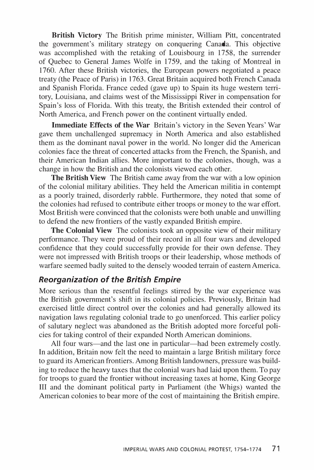**British Victory** The British prime minister, William Pitt, concentrated the government's military strategy on conquering Canada. This objective was accomplished with the retaking of Louisbourg in 1758, the surrender of Quebec to General James Wolfe in 1759, and the taking of Montreal in 1760. After these British victories, the European powers negotiated a peace treaty (the Peace of Paris) in 1763. Great Britain acquired both French Canada and Spanish Florida. France ceded (gave up) to Spain its huge western territory, Louisiana, and claims west of the Mississippi River in compensation for Spain's loss of Florida. With this treaty, the British extended their control of North America, and French power on the continent virtually ended.

**Immediate Effects of the War** Britain's victory in the Seven Years' War gave them unchallenged supremacy in North America and also established them as the dominant naval power in the world. No longer did the American colonies face the threat of concerted attacks from the French, the Spanish, and their American Indian allies. More important to the colonies, though, was a change in how the British and the colonists viewed each other.

**The British View** The British came away from the war with a low opinion of the colonial military abilities. They held the American militia in contempt as a poorly trained, disorderly rabble. Furthermore, they noted that some of the colonies had refused to contribute either troops or money to the war effort. Most British were convinced that the colonists were both unable and unwilling to defend the new frontiers of the vastly expanded British empire.

**The Colonial View** The colonists took an opposite view of their military performance. They were proud of their record in all four wars and developed confidence that they could successfully provide for their own defense. They were not impressed with British troops or their leadership, whose methods of warfare seemed badly suited to the densely wooded terrain of eastern America.

#### *Reorganization of the British Empire*

More serious than the resentful feelings stirred by the war experience was the British government's shift in its colonial policies. Previously, Britain had exercised little direct control over the colonies and had generally allowed its navigation laws regulating colonial trade to go unenforced. This earlier policy of salutary neglect was abandoned as the British adopted more forceful policies for taking control of their expanded North American dominions.

All four wars—and the last one in particular—had been extremely costly. In addition, Britain now felt the need to maintain a large British military force to guard its American frontiers. Among British landowners, pressure was building to reduce the heavy taxes that the colonial wars had laid upon them. To pay for troops to guard the frontier without increasing taxes at home, King George III and the dominant political party in Parliament (the Whigs) wanted the American colonies to bear more of the cost of maintaining the British empire.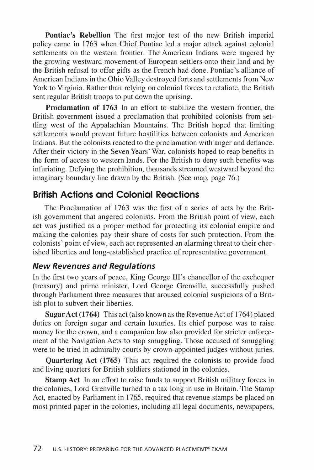**Pontiac's Rebellion** The first major test of the new British imperial policy came in 1763 when Chief Pontiac led a major attack against colonial settlements on the western frontier. The American Indians were angered by the growing westward movement of European settlers onto their land and by the British refusal to offer gifts as the French had done. Pontiac's alliance of American Indians in the Ohio Valley destroyed forts and settlements from New York to Virginia. Rather than relying on colonial forces to retaliate, the British sent regular British troops to put down the uprising.

**Proclamation of 1763** In an effort to stabilize the western frontier, the British government issued a proclamation that prohibited colonists from settling west of the Appalachian Mountains. The British hoped that limiting settlements would prevent future hostilities between colonists and American Indians. But the colonists reacted to the proclamation with anger and defiance. After their victory in the Seven Years' War, colonists hoped to reap benefits in the form of access to western lands. For the British to deny such benefits was infuriating. Defying the prohibition, thousands streamed westward beyond the imaginary boundary line drawn by the British. (See map, page 76.)

## **British Actions and Colonial Reactions**

The Proclamation of 1763 was the first of a series of acts by the British government that angered colonists. From the British point of view, each act was justified as a proper method for protecting its colonial empire and making the colonies pay their share of costs for such protection. From the colonists' point of view, each act represented an alarming threat to their cherished liberties and long-established practice of representative government.

#### *New Revenues and Regulations*

In the first two years of peace, King George Ill's chancellor of the exchequer (treasury) and prime minister, Lord George Grenville, successfully pushed through Parliament three measures that aroused colonial suspicions of a British plot to subvert their liberties.

**Sugar Act (1764)** This act (also known as the Revenue Act of 1764) placed duties on foreign sugar and certain luxuries. Its chief purpose was to raise money for the crown, and a companion law also provided for stricter enforcement of the Navigation Acts to stop smuggling. Those accused of smuggling were to be tried in admiralty courts by crown-appointed judges without juries.

**Quartering Act (1765)** This act required the colonists to provide food and living quarters for British soldiers stationed in the colonies.

**Stamp Act** In an effort to raise funds to support British military forces in the colonies, Lord Grenville turned to a tax long in use in Britain. The Stamp Act, enacted by Parliament in 1765, required that revenue stamps be placed on most printed paper in the colonies, including all legal documents, newspapers,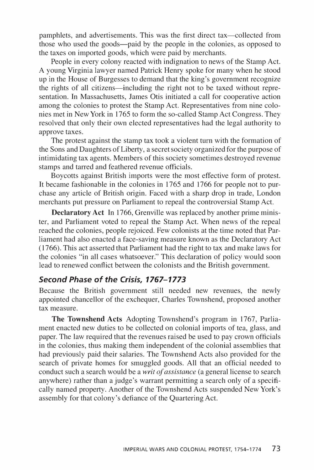pamphlets, and advertisements. This was the first direct tax—collected from those who used the goods-paid by the people in the colonies, as opposed to the taxes on imported goods, which were paid by merchants.

People in every colony reacted with indignation to news of the Stamp Act. A young Virginia lawyer named Patrick Henry spoke for many when he stood up in the House of Burgesses to demand that the king's government recognize the rights of all citizens—including the right not to be taxed without representation. In Massachusetts, James Otis initiated a call for cooperative action among the colonies to protest the Stamp Act. Representatives from nine colonies met in New York in 1765 to form the so-called Stamp Act Congress. They resolved that only their own elected representatives had the legal authority to approve taxes.

The protest against the stamp tax took a violent turn with the formation of the Sons and Daughters of Liberty, a secret society organized for the purpose of intimidating tax agents. Members of this society sometimes destroyed revenue stamps and tarred and feathered revenue officials.

Boycotts against British imports were the most effective form of protest. It became fashionable in the colonies in 1765 and 1766 for people not to purchase any article of British origin. Faced with a sharp drop in trade, London merchants put pressure on Parliament to repeal the controversial Stamp Act.

**Declaratory Act** In 1766, Grenville was replaced by another prime minister, and Parliament voted to repeal the Stamp Act. When news of the repeal reached the colonies, people rejoiced. Few colonists at the time noted that Parliament had also enacted a face-saving measure known as the Declaratory Act (1766). This act asserted that Parliament had the right to tax and make laws for the colonies "in all cases whatsoever." This declaration of policy would soon lead to renewed conflict between the colonists and the British government.

#### *Second Phase of the Crisis, 1767-1773*

Because the British government still needed new revenues, the newly appointed chancellor of the exchequer, Charles Townshend, proposed another tax measure.

**The Townshend Acts** Adopting Townshend's program in 1767, Parliament enacted new duties to be collected on colonial imports of tea, glass, and paper. The law required that the revenues raised be used to pay crown officials in the colonies, thus making them independent of the colonial assemblies that had previously paid their salaries. The Townshend Acts also provided for the search of private homes for smuggled goods. All that an official needed to conduct such a search would be a *writ of assistance* (a general license to search anywhere) rather than a judge's warrant permitting a search only of a specifically named property. Another of the Townshend Acts suspended New York's assembly for that colony's defiance of the Quartering Act.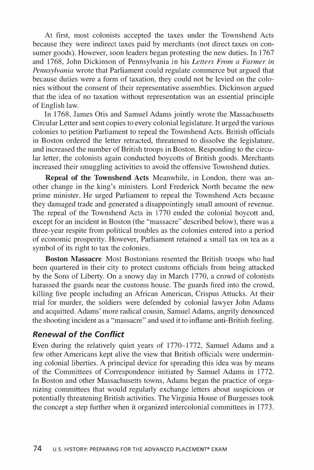At first, most colonists accepted the taxes under the Townshend Acts because they were indirect taxes paid by merchants (not direct taxes on consumer goods). However, soon leaders began protesting the new duties. In 1767 and 1768, John Dickinson of Pennsylvania in his *Letters From a Farmer in Pennsylvania* wrote that Parliament could regulate commerce but argued that because duties were a form of taxation, they could not be levied on the colonies without the consent of their representative assemblies. Dickinson argued that the idea of no taxation without representation was an essential principle of English law.

In 1768, James Otis and Samuel Adams jointly wrote the Massachusetts Circular Letter and sent copies to every colonial legislature. It urged the various colonies to petition Parliament to repeal the Townshend Acts. British officials in Boston ordered the letter retracted, threatened to dissolve the legislature, and increased the number of British troops in Boston. Responding to the circular letter, the colonists again conducted boycotts of British goods. Merchants increased their smuggling activities to avoid the offensive Townshend duties.

**Repeal of the Townshend Acts** Meanwhile, in London, there was another change in the king's ministers. Lord Frederick North became the new prime minister. He urged Parliament to repeal the Townshend Acts because they damaged trade and generated a disappointingly small amount of revenue. The repeal of the Townshend Acts in 1770 ended the colonial boycott and, except for an incident in Boston (the "massacre" described below), there was a three-year respite from political troubles as the colonies entered into a period of economic prosperity. However, Parliament retained a small tax on tea as a symbol of its right to tax the colonies.

**Boston Massacre** Most Bostonians resented the British troops who had been quartered in their city to protect customs officials from being attacked by the Sons of Liberty. On a snowy day in March 1770, a crowd of colonists harassed the guards near the customs house. The guards fired into the crowd, killing five people including an African American, Crispus Attucks. At their trial for murder, the soldiers were defended by colonial lawyer John Adams and acquitted. Adams' more radical cousin, Samuel Adams, angrily denounced the shooting incident as a "massacre" and used it to inflame anti-British feeling.

#### *Renewal of the Conflict*

Even during the relatively quiet years of 1770-1772, Samuel Adams and a few other Americans kept alive the view that British officials were undermining colonial liberties. A principal device for spreading this idea was by means of the Committees of Correspondence initiated by Samuel Adams in 1772. In Boston and other Massachusetts towns, Adams began the practice of organizing committees that would regularly exchange letters about suspicious or potentially threatening British activities. The Virginia House of Burgesses took the concept a step further when it organized intercolonial committees in 1773.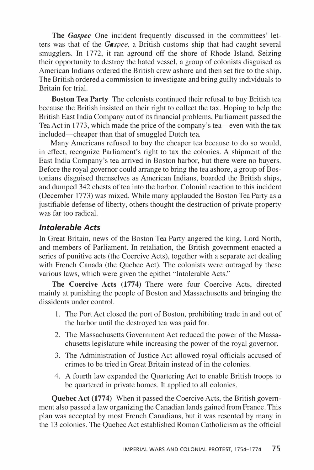**The** *Gaspee* One incident frequently discussed in the committees' letters was that of the *Gaspee,* a British customs ship that had caught several smugglers. In 1772, it ran aground off the shore of Rhode Island. Seizing their opportunity to destroy the hated vessel, a group of colonists disguised as American Indians ordered the British crew ashore and then set fire to the ship. The British ordered a commission to investigate and bring guilty individuals to Britain for trial.

**Boston Tea Party** The colonists continued their refusal to buy British tea because the British insisted on their right to collect the tax. Hoping to help the British East India Company out of its financial problems, Parliament passed the Tea Act in 1773, which made the price of the company's tea—even with the tax included-cheaper than that of smuggled Dutch tea.

Many Americans refused to buy the cheaper tea because to do so would, in effect, recognize Parliament's right to tax the colonies. A shipment of the East India Company's tea arrived in Boston harbor, but there were no buyers. Before the royal governor could arrange to bring the tea ashore, a group of Bostonians disguised themselves as American Indians, boarded the British ships, and dumped 342 chests of tea into the harbor. Colonial reaction to this incident (December 1773) was mixed. While many applauded the Boston Tea Party as a justifiable defense of liberty, others thought the destruction of private property was far too radical.

#### *Intolerable Acts*

In Great Britain, news of the Boston Tea Party angered the king, Lord North, and members of Parliament. In retaliation, the British government enacted a series of punitive acts (the Coercive Acts), together with a separate act dealing with French Canada (the Quebec Act). The colonists were outraged by these various laws, which were given the epithet "Intolerable Acts."

**The Coercive Acts (1774)** There were four Coercive Acts, directed mainly at punishing the people of Boston and Massachusetts and bringing the dissidents under control.

- 1. The Port Act closed the port of Boston, prohibiting trade in and out of the harbor until the destroyed tea was paid for.
- 2. The Massachusetts Government Act reduced the power of the Massachusetts legislature while increasing the power of the royal governor.
- 3. The Administration of Justice Act allowed royal officials accused of crimes to be tried in Great Britain instead of in the colonies.
- 4. A fourth law expanded the Quartering Act to enable British troops to be quartered in private homes. It applied to all colonies.

**Quebec Act (1774)** When it passed the Coercive Acts, the British government also passed a law organizing the Canadian lands gained from France. This plan was accepted by most French Canadians, but it was resented by many in the 13 colonies. The Quebec Act established Roman Catholicism as the official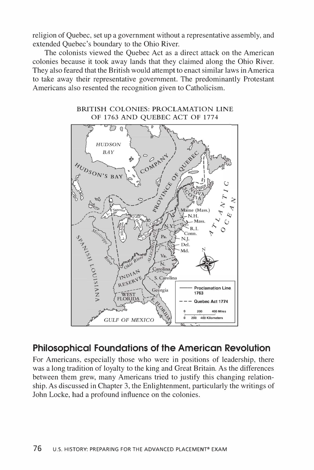religion of Quebec, set up a government without a representative assembly, and extended Quebec's boundary to the Ohio River.

The colonists viewed the Quebec Act as a direct attack on the American colonies because it took away lands that they claimed along the Ohio River. They also feared that the British would attempt to enact similar laws in America to take away their representative government. The predominantly Protestant Americans also resented the recognition given to Catholicism.

#### **BRITISH COLONIES: PROCLAMATION LINE OF** 1763 **AND QUEBEC ACT OF** 1774



## **Philosophical Foundations of the American Revolution**

For Americans, especially those who were in positions of leadership, there was a long tradition of loyalty to the king and Great Britain. As the differences between them grew, many Americans tried to justify this changing relationship. As discussed in Chapter 3, the Enlightenment, particularly the writings of John Locke, had a profound influence on the colonies.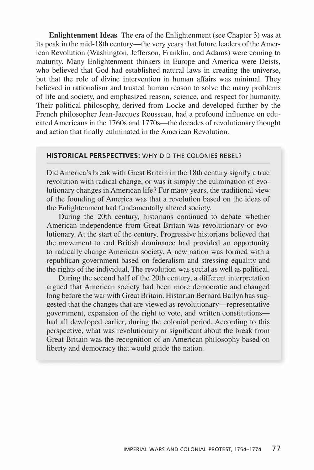**Enlightenment Ideas** The era of the Enlightenment (see Chapter 3) was at its peak in the mid-18th century—the very years that future leaders of the American Revolution (Washington, Jefferson, Franklin, and Adams) were coming to maturity. Many Enlightenment thinkers in Europe and America were Deists, who believed that God had established natural laws in creating the universe, but that the role of divine intervention in human affairs was minimal. They believed in rationalism and trusted human reason to solve the many problems of life and society, and emphasized reason, science, and respect for humanity. Their political philosophy, derived from Locke and developed further by the French philosopher Jean-Jacques Rousseau, had a profound influence on educated Americans in the 1760s and 1770s—the decades of revolutionary thought and action that finally culminated in the American Revolution.

#### **HISTORICAL PERSPECTIVES:** WHY DID THE COLONIES **REBEL?**

Did America's break with Great Britain in the 18th century signify a true revolution with radical change, or was it simply the culmination of evolutionary changes in American life? For many years, the traditional view of the founding of America was that a revolution based on the ideas of the Enlightenment had fundamentally altered society.

During the 20th century, historians continued to debate whether American independence from Great Britain was revolutionary or evolutionary. At the start of the century, Progressive historians believed that the movement to end British dominance had provided an opportunity to radically change American society. A new nation was formed with a republican government based on federalism and stressing equality and the rights of the individual. The revolution was social as well as political.

During the second half of the 20th century, a different interpretation argued that American society had been more democratic and changed long before the war with Great Britain. Historian Bernard Bailyn has suggested that the changes that are viewed as revolutionary—representative government, expansion of the right to vote, and written constitutionshad all developed earlier, during the colonial period. According to this perspective, what was revolutionary or significant about the break from Great Britain was the recognition of an American philosophy based on liberty and democracy that would guide the nation.